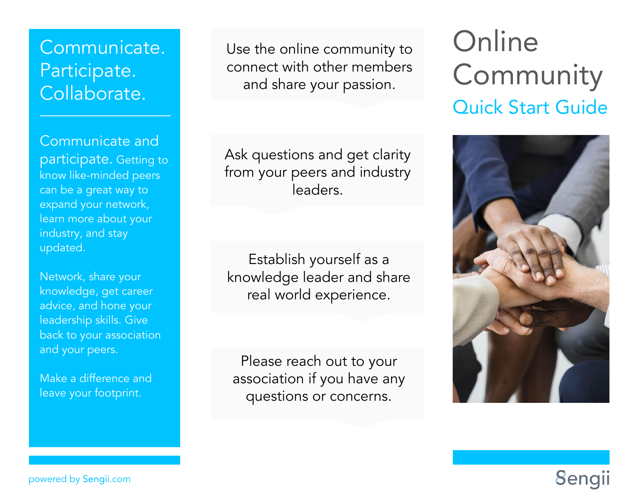# Communicate. Participate. Collaborate.

Communicate and participate. Getting to know like-minded peers can be a great way to expand your network, learn more about your industry, and stay updated.

Network, share your knowledge, get career advice, and hone your leadership skills. Give back to your association and your peers.

Make a difference and leave your footprint.

Use the online community to connect with other members and share your passion.

Ask questions and get clarity from your peers and industry leaders.

Establish yourself as a knowledge leader and share real world experience.

Please reach out to your association if you have any questions or concerns.

# **Online** Community Quick Start Guide



**Sengii** 

powered by Sengii.com